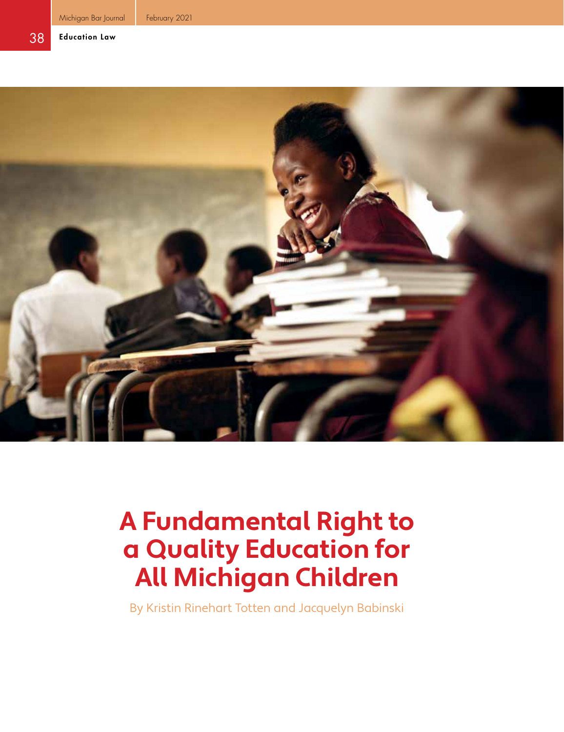

# **A Fundamental Right to a Quality Education for All Michigan Children**

By Kristin Rinehart Totten and Jacquelyn Babinski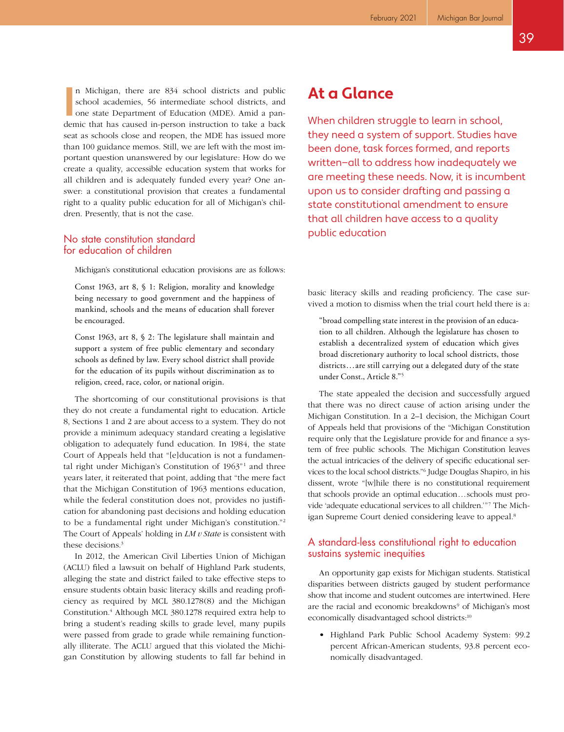In Michigan, there are 834 school districts and public school academies, 56 intermediate school districts, and one state Department of Education (MDE). Amid a pandemic that has caused in-person instruction to take a back n Michigan, there are 834 school districts and public school academies, 56 intermediate school districts, and one state Department of Education (MDE). Amid a panseat as schools close and reopen, the MDE has issued more than 100 guidance memos. Still, we are left with the most important question unanswered by our legislature: How do we create a quality, accessible education system that works for all children and is adequately funded every year? One answer: a constitutional provision that creates a fundamental right to a quality public education for all of Michigan's children. Presently, that is not the case.

### No state constitution standard for education of children

Michigan's constitutional education provisions are as follows:

Const 1963, art 8, § 1: Religion, morality and knowledge being necessary to good government and the happiness of mankind, schools and the means of education shall forever be encouraged.

Const 1963, art 8, § 2: The legislature shall maintain and support a system of free public elementary and secondary schools as defined by law. Every school district shall provide for the education of its pupils without discrimination as to religion, creed, race, color, or national origin.

The shortcoming of our constitutional provisions is that they do not create a fundamental right to education. Article 8, Sections 1 and 2 are about access to a system. They do not provide a minimum adequacy standard creating a legislative obligation to adequately fund education. In 1984, the state Court of Appeals held that "[e]ducation is not a fundamental right under Michigan's Constitution of 1963"<sup>1</sup> and three years later, it reiterated that point, adding that "the mere fact that the Michigan Constitution of 1963 mentions education, while the federal constitution does not, provides no justification for abandoning past decisions and holding education to be a fundamental right under Michigan's constitution."2 The Court of Appeals' holding in *LM v State* is consistent with these decisions.<sup>3</sup>

In 2012, the American Civil Liberties Union of Michigan (ACLU) filed a lawsuit on behalf of Highland Park students, alleging the state and district failed to take effective steps to ensure students obtain basic literacy skills and reading proficiency as required by MCL 380.1278(8) and the Michigan Constitution.4 Although MCL 380.1278 required extra help to bring a student's reading skills to grade level, many pupils were passed from grade to grade while remaining functionally illiterate. The ACLU argued that this violated the Michigan Constitution by allowing students to fall far behind in

## **At a Glance**

When children struggle to learn in school, they need a system of support. Studies have been done, task forces formed, and reports written—all to address how inadequately we are meeting these needs. Now, it is incumbent upon us to consider drafting and passing a state constitutional amendment to ensure that all children have access to a quality public education

basic literacy skills and reading proficiency. The case survived a motion to dismiss when the trial court held there is a:

"broad compelling state interest in the provision of an education to all children. Although the legislature has chosen to establish a decentralized system of education which gives broad discretionary authority to local school districts, those districts...are still carrying out a delegated duty of the state under Const., Article 8."5

The state appealed the decision and successfully argued that there was no direct cause of action arising under the Michigan Constitution. In a 2–1 decision, the Michigan Court of Appeals held that provisions of the "Michigan Constitution require only that the Legislature provide for and finance a system of free public schools. The Michigan Constitution leaves the actual intricacies of the delivery of specific educational services to the local school districts."6 Judge Douglas Shapiro, in his dissent, wrote "[w]hile there is no constitutional requirement that schools provide an optimal education...schools must provide 'adequate educational services to all children.'"7 The Michigan Supreme Court denied considering leave to appeal.<sup>8</sup>

### A standard-less constitutional right to education sustains systemic inequities

An opportunity gap exists for Michigan students. Statistical disparities between districts gauged by student performance show that income and student outcomes are intertwined. Here are the racial and economic breakdowns<sup>9</sup> of Michigan's most economically disadvantaged school districts:<sup>10</sup>

• Highland Park Public School Academy System: 99.2 percent African-American students, 93.8 percent economically disadvantaged.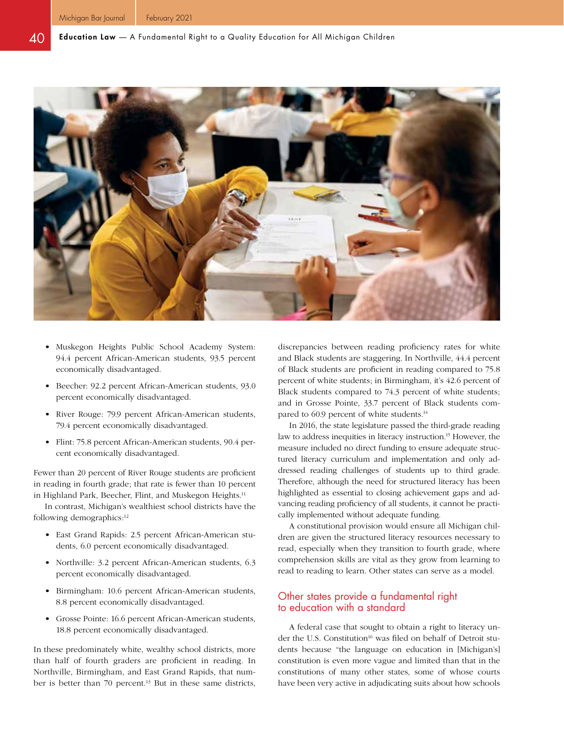

- Muskegon Heights Public School Academy System: 94.4 percent African-American students, 93.5 percent economically disadvantaged.
- Beecher: 92.2 percent African-American students, 93.0 percent economically disadvantaged.
- River Rouge: 79.9 percent African-American students, 79.4 percent economically disadvantaged.
- Flint: 75.8 percent African-American students, 90.4 percent economically disadvantaged.

Fewer than 20 percent of River Rouge students are proficient in reading in fourth grade; that rate is fewer than 10 percent in Highland Park, Beecher, Flint, and Muskegon Heights.<sup>11</sup>

In contrast, Michigan's wealthiest school districts have the following demographics:<sup>12</sup>

- East Grand Rapids: 2.5 percent African-American students, 6.0 percent economically disadvantaged.
- Northville: 3.2 percent African-American students, 6.3 percent economically disadvantaged.
- Birmingham: 10.6 percent African-American students, 8.8 percent economically disadvantaged.
- Grosse Pointe: 16.6 percent African-American students, 18.8 percent economically disadvantaged.

In these predominately white, wealthy school districts, more than half of fourth graders are proficient in reading. In Northville, Birmingham, and East Grand Rapids, that number is better than 70 percent.<sup>13</sup> But in these same districts,

discrepancies between reading proficiency rates for white and Black students are staggering. In Northville, 44.4 percent of Black students are proficient in reading compared to 75.8 percent of white students; in Birmingham, it's 42.6 percent of Black students compared to 74.3 percent of white students; and in Grosse Pointe, 33.7 percent of Black students compared to 60.9 percent of white students.<sup>14</sup>

In 2016, the state legislature passed the third-grade reading law to address inequities in literacy instruction.<sup>15</sup> However, the measure included no direct funding to ensure adequate structured literacy curriculum and implementation and only addressed reading challenges of students up to third grade. Therefore, although the need for structured literacy has been highlighted as essential to closing achievement gaps and advancing reading proficiency of all students, it cannot be practically implemented without adequate funding.

A constitutional provision would ensure all Michigan children are given the structured literacy resources necessary to read, especially when they transition to fourth grade, where comprehension skills are vital as they grow from learning to read to reading to learn. Other states can serve as a model.

#### Other states provide a fundamental right to education with a standard

A federal case that sought to obtain a right to literacy under the U.S. Constitution<sup>16</sup> was filed on behalf of Detroit students because "the language on education in [Michigan's] constitution is even more vague and limited than that in the constitutions of many other states, some of whose courts have been very active in adjudicating suits about how schools